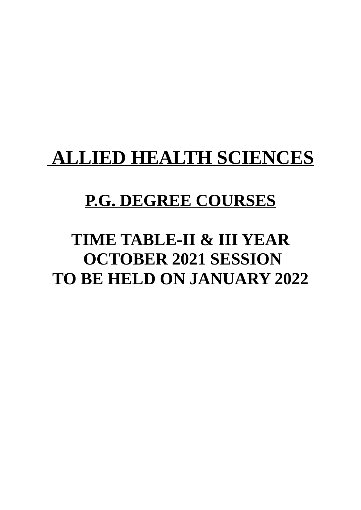# **ALLIED HEALTH SCIENCES**

# **P.G. DEGREE COURSES**

# **TIME TABLE-II & III YEAR OCTOBER 2021 SESSION TO BE HELD ON JANUARY 2022**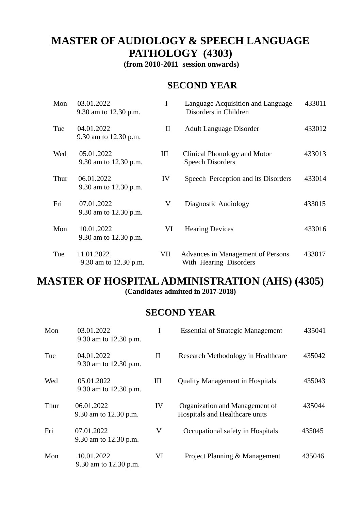# **MASTER OF AUDIOLOGY & SPEECH LANGUAGE PATHOLOGY (4303)**

**(from 2010-2011 session onwards)**

### **SECOND YEAR**

| Mon  | 03.01.2022<br>9.30 am to 12.30 p.m. | $\mathbf I$  | Language Acquisition and Language<br>Disorders in Children  | 433011 |
|------|-------------------------------------|--------------|-------------------------------------------------------------|--------|
| Tue  | 04.01.2022<br>9.30 am to 12.30 p.m. | $\mathbf{I}$ | Adult Language Disorder                                     | 433012 |
| Wed  | 05.01.2022<br>9.30 am to 12.30 p.m. | Ш            | Clinical Phonology and Motor<br><b>Speech Disorders</b>     | 433013 |
| Thur | 06.01.2022<br>9.30 am to 12.30 p.m. | IV           | Speech Perception and its Disorders                         | 433014 |
| Fri  | 07.01.2022<br>9.30 am to 12.30 p.m. | V            | Diagnostic Audiology                                        | 433015 |
| Mon  | 10.01.2022<br>9.30 am to 12.30 p.m. | VI           | <b>Hearing Devices</b>                                      | 433016 |
| Tue  | 11.01.2022<br>9.30 am to 12.30 p.m. | VII          | Advances in Management of Persons<br>With Hearing Disorders | 433017 |

### **MASTER OF HOSPITAL ADMINISTRATION (AHS) (4305) (Candidates admitted in 2017-2018)**

| Mon  | 03.01.2022<br>9.30 am to 12.30 p.m. | T       | <b>Essential of Strategic Management</b>                         | 435041 |
|------|-------------------------------------|---------|------------------------------------------------------------------|--------|
| Tue  | 04.01.2022<br>9.30 am to 12.30 p.m. | II      | Research Methodology in Healthcare                               | 435042 |
| Wed  | 05.01.2022<br>9.30 am to 12.30 p.m. | Ш       | <b>Quality Management in Hospitals</b>                           | 435043 |
| Thur | 06.01.2022<br>9.30 am to 12.30 p.m. | IV      | Organization and Management of<br>Hospitals and Healthcare units | 435044 |
| Fri  | 07.01.2022<br>9.30 am to 12.30 p.m. | $\rm V$ | Occupational safety in Hospitals                                 | 435045 |
| Mon  | 10.01.2022<br>9.30 am to 12.30 p.m. | VI      | Project Planning & Management                                    | 435046 |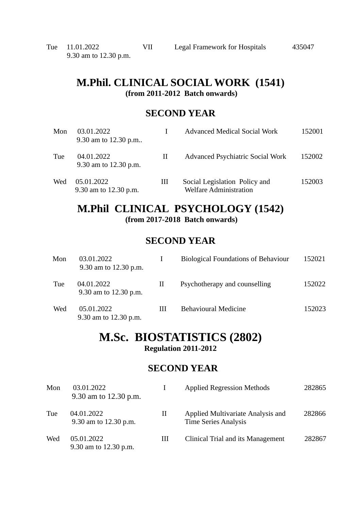# **M.Phil. CLINICAL SOCIAL WORK (1541)**

**(from 2011-2012 Batch onwards)**

### **SECOND YEAR**

| Mon | 03.01.2022<br>9.30 am to 12.30 p.m  |   | <b>Advanced Medical Social Work</b>                            | 152001 |
|-----|-------------------------------------|---|----------------------------------------------------------------|--------|
| Tue | 04.01.2022<br>9.30 am to 12.30 p.m. | П | Advanced Psychiatric Social Work                               | 152002 |
| Wed | 05.01.2022<br>9.30 am to 12.30 p.m. | Ш | Social Legislation Policy and<br><b>Welfare Administration</b> | 152003 |

### **M.Phil CLINICAL PSYCHOLOGY (1542) (from 2017-2018 Batch onwards)**

### **SECOND YEAR**

| Mon | 03.01.2022<br>9.30 am to 12.30 p.m. |   | <b>Biological Foundations of Behaviour</b> | 152021 |
|-----|-------------------------------------|---|--------------------------------------------|--------|
| Tue | 04.01.2022<br>9.30 am to 12.30 p.m. | П | Psychotherapy and counselling              | 152022 |
| Wed | 05.01.2022<br>9.30 am to 12.30 p.m. | Ш | <b>Behavioural Medicine</b>                | 152023 |

### **M.Sc. BIOSTATISTICS (2802) Regulation 2011-2012**

| Mon | 03.01.2022<br>9.30 am to 12.30 p.m. | L        | <b>Applied Regression Methods</b>                                | 282865 |
|-----|-------------------------------------|----------|------------------------------------------------------------------|--------|
| Tue | 04.01.2022<br>9.30 am to 12.30 p.m. | $\rm II$ | Applied Multivariate Analysis and<br><b>Time Series Analysis</b> | 282866 |
| Wed | 05.01.2022<br>9.30 am to 12.30 p.m. | Ш        | Clinical Trial and its Management                                | 282867 |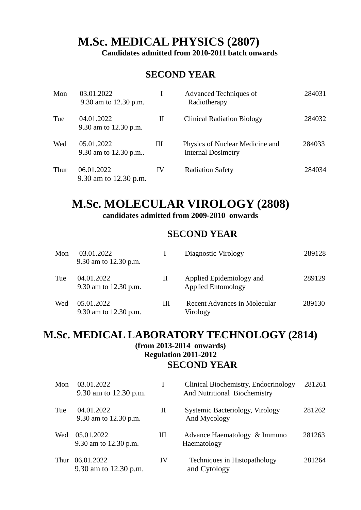# **M.Sc. MEDICAL PHYSICS (2807)**

 **Candidates admitted from 2010-2011 batch onwards**

### **SECOND YEAR**

| Mon  | 03.01.2022<br>9.30 am to 12.30 p.m. |    | Advanced Techniques of<br>Radiotherapy                       | 284031 |
|------|-------------------------------------|----|--------------------------------------------------------------|--------|
| Tue  | 04.01.2022<br>9.30 am to 12.30 p.m. | Н  | <b>Clinical Radiation Biology</b>                            | 284032 |
| Wed  | 05.01.2022<br>9.30 am to 12.30 p.m  | Ш  | Physics of Nuclear Medicine and<br><b>Internal Dosimetry</b> | 284033 |
| Thur | 06.01.2022<br>9.30 am to 12.30 p.m. | IV | <b>Radiation Safety</b>                                      | 284034 |

### **M.Sc. MOLECULAR VIROLOGY (2808) candidates admitted from 2009-2010 onwards**

### **SECOND YEAR**

| Mon | 03.01.2022<br>9.30 am to 12.30 p.m. |   | Diagnostic Virology                                   | 289128 |
|-----|-------------------------------------|---|-------------------------------------------------------|--------|
| Tue | 04.01.2022<br>9.30 am to 12.30 p.m. | П | Applied Epidemiology and<br><b>Applied Entomology</b> | 289129 |
| Wed | 05.01.2022<br>9.30 am to 12.30 p.m. | Ш | <b>Recent Advances in Molecular</b><br>Virology       | 289130 |

### **M.Sc. MEDICAL LABORATORY TECHNOLOGY (2814) (from 2013-2014 onwards) Regulation 2011-2012 SECOND YEAR**

| Mon  | 03.01.2022<br>9.30 am to 12.30 p.m. | I  | Clinical Biochemistry, Endocrinology<br>And Nutritional Biochemistry | 281261 |
|------|-------------------------------------|----|----------------------------------------------------------------------|--------|
| Tue  | 04.01.2022<br>9.30 am to 12.30 p.m. | Н  | Systemic Bacteriology, Virology<br>And Mycology                      | 281262 |
| Wed  | 05.01.2022<br>9.30 am to 12.30 p.m. | Ш  | Advance Haematology & Immuno<br>Haematology                          | 281263 |
| Thur | 06.01.2022<br>9.30 am to 12.30 p.m. | IV | Techniques in Histopathology<br>and Cytology                         | 281264 |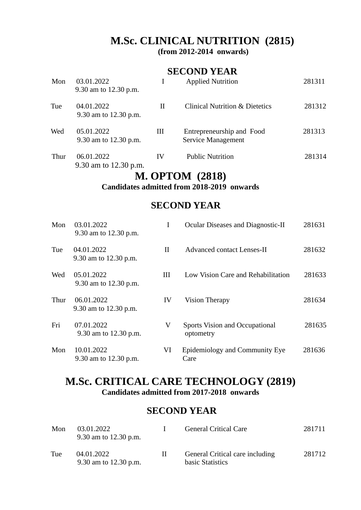# **M.Sc. CLINICAL NUTRITION (2815)**

**(from 2012-2014 onwards)**

### **SECOND YEAR**

| Mon  | 03.01.2022<br>9.30 am to 12.30 p.m. |    | <b>Applied Nutrition</b>                        | 281311 |
|------|-------------------------------------|----|-------------------------------------------------|--------|
| Tue  | 04.01.2022<br>9.30 am to 12.30 p.m. | П  | <b>Clinical Nutrition &amp; Dietetics</b>       | 281312 |
| Wed  | 05.01.2022<br>9.30 am to 12.30 p.m. | Ш  | Entrepreneurship and Food<br>Service Management | 281313 |
| Thur | 06.01.2022<br>9.30 am to 12.30 p.m. | IV | <b>Public Nutrition</b>                         | 281314 |

# **M. OPTOM (2818)**

**Candidates admitted from 2018-2019 onwards**

### **SECOND YEAR**

| Mon  | 03.01.2022<br>9.30 am to 12.30 p.m. | I  | Ocular Diseases and Diagnostic-II                  | 281631 |
|------|-------------------------------------|----|----------------------------------------------------|--------|
| Tue  | 04.01.2022<br>9.30 am to 12.30 p.m. | H  | <b>Advanced contact Lenses-II</b>                  | 281632 |
| Wed  | 05.01.2022<br>9.30 am to 12.30 p.m. | Ш  | Low Vision Care and Rehabilitation                 | 281633 |
| Thur | 06.01.2022<br>9.30 am to 12.30 p.m. | IV | <b>Vision Therapy</b>                              | 281634 |
| Fri  | 07.01.2022<br>9.30 am to 12.30 p.m. | V  | <b>Sports Vision and Occupational</b><br>optometry | 281635 |
| Mon  | 10.01.2022<br>9.30 am to 12.30 p.m. | VI | Epidemiology and Community Eye<br>Care             | 281636 |

### **M.Sc. CRITICAL CARE TECHNOLOGY (2819) Candidates admitted from 2017-2018 onwards**

| Mon | 03.01.2022<br>9.30 am to 12.30 p.m. | <b>General Critical Care</b>                        | 281711 |
|-----|-------------------------------------|-----------------------------------------------------|--------|
| Tue | 04.01.2022<br>9.30 am to 12.30 p.m. | General Critical care including<br>basic Statistics | 281712 |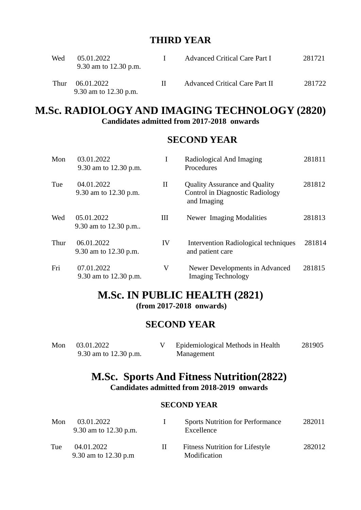### **THIRD YEAR**

| Wed  | 05.01.2022<br>9.30 am to 12.30 p.m. | Advanced Critical Care Part I  | 281721 |
|------|-------------------------------------|--------------------------------|--------|
| Thur | 06.01.2022<br>9.30 am to 12.30 p.m. | Advanced Critical Care Part II | 281722 |

### **M.Sc. RADIOLOGY AND IMAGING TECHNOLOGY (2820) Candidates admitted from 2017-2018 onwards**

### **SECOND YEAR**

| Mon  | 03.01.2022<br>9.30 am to 12.30 p.m. | I   | Radiological And Imaging<br>Procedures                                                 | 281811 |
|------|-------------------------------------|-----|----------------------------------------------------------------------------------------|--------|
| Tue  | 04.01.2022<br>9.30 am to 12.30 p.m. | II  | <b>Quality Assurance and Quality</b><br>Control in Diagnostic Radiology<br>and Imaging | 281812 |
| Wed  | 05.01.2022<br>9.30 am to 12.30 p.m  | III | Newer Imaging Modalities                                                               | 281813 |
| Thur | 06.01.2022<br>9.30 am to 12.30 p.m. | IV  | Intervention Radiological techniques<br>and patient care                               | 281814 |
| Fri  | 07.01.2022<br>9.30 am to 12.30 p.m. | V   | Newer Developments in Advanced<br><b>Imaging Technology</b>                            | 281815 |

### **M.Sc. IN PUBLIC HEALTH (2821) (from 2017-2018 onwards)**

### **SECOND YEAR**

| Mon 03.01.2022        | Epidemiological Methods in Health | 281905 |
|-----------------------|-----------------------------------|--------|
| 9.30 am to 12.30 p.m. | Management                        |        |

### **M.Sc. Sports And Fitness Nutrition(2822) Candidates admitted from 2018-2019 onwards**

| Mon | 03.01.2022<br>9.30 am to 12.30 p.m. |   | <b>Sports Nutrition for Performance</b><br>Excellence  | 282011 |
|-----|-------------------------------------|---|--------------------------------------------------------|--------|
| Tue | 04.01.2022<br>9.30 am to 12.30 p.m  | П | <b>Fitness Nutrition for Lifestyle</b><br>Modification | 282012 |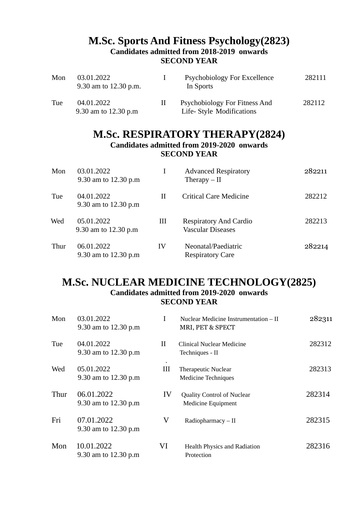### **M.Sc. Sports And Fitness Psychology(2823) Candidates admitted from 2018-2019 onwards SECOND YEAR**

| Mon | 03.01.2022<br>9.30 am to 12.30 p.m. |    | Psychobiology For Excellence<br>In Sports                  | 282111 |
|-----|-------------------------------------|----|------------------------------------------------------------|--------|
| Tue | 04.01.2022<br>9.30 am to 12.30 p.m  | H. | Psychobiology For Fitness And<br>Life- Style Modifications | 282112 |

# **M.Sc. RESPIRATORY THERAPY(2824)**

**Candidates admitted from 2019-2020 onwards SECOND YEAR**

| Mon  | 03.01.2022<br>9.30 am to 12.30 p.m |    | <b>Advanced Respiratory</b><br>Therapy $-$ II             | 282211 |
|------|------------------------------------|----|-----------------------------------------------------------|--------|
| Tue  | 04.01.2022<br>9.30 am to 12.30 p.m | Н  | <b>Critical Care Medicine</b>                             | 282212 |
| Wed  | 05.01.2022<br>9.30 am to 12.30 p.m | Ш  | <b>Respiratory And Cardio</b><br><b>Vascular Diseases</b> | 282213 |
| Thur | 06.01.2022<br>9.30 am to 12.30 p.m | IV | Neonatal/Paediatric<br><b>Respiratory Care</b>            | 282214 |

### **M.Sc. NUCLEAR MEDICINE TECHNOLOGY(2825) Candidates admitted from 2019-2020 onwards SECOND YEAR**

| Mon  | 03.01.2022<br>9.30 am to 12.30 p.m | I         | Nuclear Medicine Instrumentation - II<br>MRI, PET & SPECT | 282311 |
|------|------------------------------------|-----------|-----------------------------------------------------------|--------|
| Tue  | 04.01.2022<br>9.30 am to 12.30 p.m | $\rm{II}$ | Clinical Nuclear Medicine<br>Techniques - II              | 282312 |
| Wed  | 05.01.2022<br>9.30 am to 12.30 p.m | Ш         | <b>Therapeutic Nuclear</b><br><b>Medicine Techniques</b>  | 282313 |
| Thur | 06.01.2022<br>9.30 am to 12.30 p.m | IV        | <b>Quality Control of Nuclear</b><br>Medicine Equipment   | 282314 |
| Fri  | 07.01.2022<br>9.30 am to 12.30 p.m | V         | Radiopharmacy-II                                          | 282315 |
| Mon  | 10.01.2022<br>9.30 am to 12.30 p.m | VI        | Health Physics and Radiation<br>Protection                | 282316 |